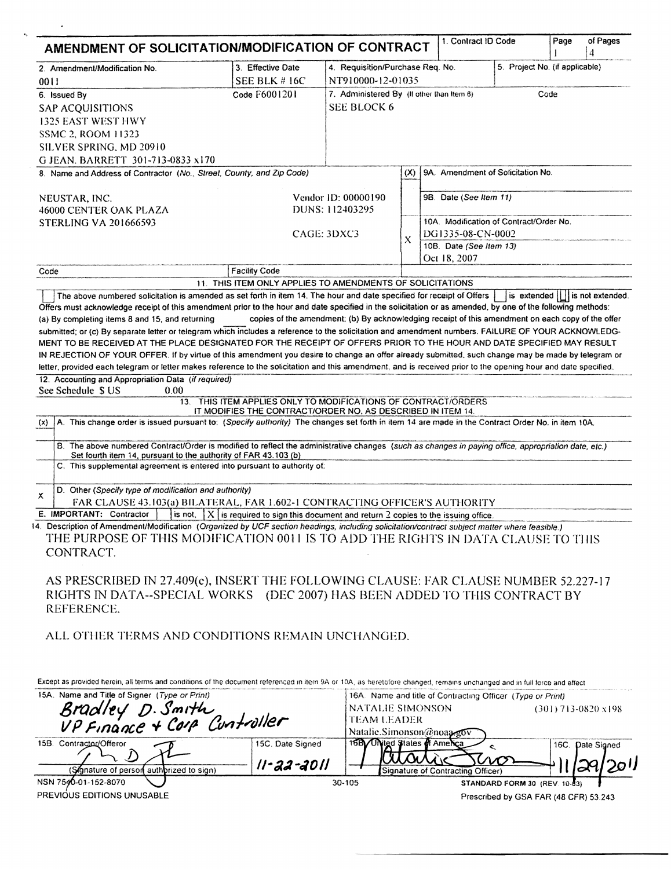| 2. Amendment/Modification No.                                                                                                                                                                                                                                                                                                                                                                                                                                         | 3. Effective Date                                                                                                             | 4. Requisition/Purchase Req. No.<br>5. Project No. (if applicable) |                    |                                                            |     |                                                |                  |
|-----------------------------------------------------------------------------------------------------------------------------------------------------------------------------------------------------------------------------------------------------------------------------------------------------------------------------------------------------------------------------------------------------------------------------------------------------------------------|-------------------------------------------------------------------------------------------------------------------------------|--------------------------------------------------------------------|--------------------|------------------------------------------------------------|-----|------------------------------------------------|------------------|
| 0011                                                                                                                                                                                                                                                                                                                                                                                                                                                                  | SEE BLK #16C                                                                                                                  | NT910000-12-01035                                                  |                    |                                                            |     |                                                |                  |
| 6. Issued By                                                                                                                                                                                                                                                                                                                                                                                                                                                          | Code F6001201                                                                                                                 | 7. Administered By (If other than Item 6)<br>Code                  |                    |                                                            |     |                                                |                  |
| <b>SAP ACQUISITIONS</b>                                                                                                                                                                                                                                                                                                                                                                                                                                               |                                                                                                                               |                                                                    | <b>SEE BLOCK 6</b> |                                                            |     |                                                |                  |
| <b>1325 EAST WEST HWY</b>                                                                                                                                                                                                                                                                                                                                                                                                                                             |                                                                                                                               |                                                                    |                    |                                                            |     |                                                |                  |
| <b>SSMC 2, ROOM 11323</b>                                                                                                                                                                                                                                                                                                                                                                                                                                             |                                                                                                                               |                                                                    |                    |                                                            |     |                                                |                  |
| SILVER SPRING, MD 20910                                                                                                                                                                                                                                                                                                                                                                                                                                               |                                                                                                                               |                                                                    |                    |                                                            |     |                                                |                  |
| G JEAN. BARRETT 301-713-0833 x170                                                                                                                                                                                                                                                                                                                                                                                                                                     |                                                                                                                               |                                                                    |                    |                                                            |     |                                                |                  |
| 8. Name and Address of Contractor (No., Street, County, and Zip Code)                                                                                                                                                                                                                                                                                                                                                                                                 |                                                                                                                               |                                                                    | (X)                | 9A. Amendment of Solicitation No.                          |     |                                                |                  |
|                                                                                                                                                                                                                                                                                                                                                                                                                                                                       |                                                                                                                               |                                                                    |                    |                                                            |     |                                                |                  |
| NEUSTAR, INC.                                                                                                                                                                                                                                                                                                                                                                                                                                                         |                                                                                                                               | Vendor ID: 00000190                                                |                    | 9B. Date (See Item 11)                                     |     |                                                |                  |
| 46000 CENTER OAK PLAZA                                                                                                                                                                                                                                                                                                                                                                                                                                                |                                                                                                                               | DUNS: 112403295                                                    |                    |                                                            |     |                                                |                  |
| <b>STERLING VA 201666593</b>                                                                                                                                                                                                                                                                                                                                                                                                                                          |                                                                                                                               |                                                                    |                    | 10A. Modification of Contract/Order No.                    |     |                                                |                  |
|                                                                                                                                                                                                                                                                                                                                                                                                                                                                       |                                                                                                                               | CAGE: 3DXC3                                                        |                    | DG1335-08-CN-0002                                          |     |                                                |                  |
|                                                                                                                                                                                                                                                                                                                                                                                                                                                                       |                                                                                                                               |                                                                    | X                  | 10B. Date (See Item 13)                                    |     |                                                |                  |
|                                                                                                                                                                                                                                                                                                                                                                                                                                                                       |                                                                                                                               |                                                                    |                    | Oct 18, 2007                                               |     |                                                |                  |
| Code                                                                                                                                                                                                                                                                                                                                                                                                                                                                  | <b>Facility Code</b>                                                                                                          |                                                                    |                    |                                                            |     |                                                |                  |
|                                                                                                                                                                                                                                                                                                                                                                                                                                                                       | 11. THIS ITEM ONLY APPLIES TO AMENDMENTS OF SOLICITATIONS                                                                     |                                                                    |                    |                                                            |     |                                                |                  |
| The above numbered solicitation is amended as set forth in item 14. The hour and date specified for receipt of Offers                                                                                                                                                                                                                                                                                                                                                 |                                                                                                                               |                                                                    |                    |                                                            |     | is extended $\lfloor \rfloor$ is not extended. |                  |
| 12. Accounting and Appropriation Data (if required)<br>See Schedule S US<br>0.00<br>A. This change order is issued pursuant to: (Specify authority) The changes set forth in item 14 are made in the Contract Order No. in item 10A.<br>(x)<br>B. The above numbered Contract/Order is modified to reflect the administrative changes (such as changes in paying office, appropriation date, etc.)<br>Set fourth item 14, pursuant to the authority of FAR 43.103 (b) | 13. THIS ITEM APPLIES ONLY TO MODIFICATIONS OF CONTRACT/ORDERS<br>IT MODIFIES THE CONTRACT/ORDER NO. AS DESCRIBED IN ITEM 14. |                                                                    |                    |                                                            |     |                                                |                  |
| C. This supplemental agreement is entered into pursuant to authority of:                                                                                                                                                                                                                                                                                                                                                                                              |                                                                                                                               |                                                                    |                    |                                                            |     |                                                |                  |
| D. Other (Specify type of modification and authority)                                                                                                                                                                                                                                                                                                                                                                                                                 |                                                                                                                               |                                                                    |                    |                                                            |     |                                                |                  |
| FAR CLAUSE 43.103(a) BILATERAL, FAR 1.602-1 CONTRACTING OFFICER'S AUTHORITY                                                                                                                                                                                                                                                                                                                                                                                           |                                                                                                                               |                                                                    |                    |                                                            |     |                                                |                  |
| x<br>E. IMPORTANT: Contractor $\overline{\phantom{a}}$ is not, $\overline{\phantom{a}}$ is required to sign this document and return 2 copies to the issuing office                                                                                                                                                                                                                                                                                                   |                                                                                                                               |                                                                    |                    |                                                            |     |                                                |                  |
| 14. Description of Amendment/Modification (Organized by UCF section headings, including solicitation/contract subject matter where feasible.)<br>THE PURPOSE OF THIS MODIFICATION 0011 IS TO ADD THE RIGHTS IN DATA CLAUSE TO THIS<br>CONTRACT.                                                                                                                                                                                                                       |                                                                                                                               |                                                                    |                    |                                                            |     |                                                |                  |
| AS PRESCRIBED IN 27.409(c), INSERT THE FOLLOWING CLAUSE: FAR CLAUSE NUMBER 52.227-17<br>RIGHTS IN DATA--SPECIAL WORKS (DEC 2007) HAS BEEN ADDED TO THIS CONTRACT BY<br>REFERENCE.                                                                                                                                                                                                                                                                                     |                                                                                                                               |                                                                    |                    |                                                            |     |                                                |                  |
| ALL OTHER TERMS AND CONDITIONS REMAIN UNCHANGED.                                                                                                                                                                                                                                                                                                                                                                                                                      |                                                                                                                               |                                                                    |                    |                                                            |     |                                                |                  |
|                                                                                                                                                                                                                                                                                                                                                                                                                                                                       |                                                                                                                               |                                                                    |                    |                                                            |     |                                                |                  |
| Except as provided herein, all terms and conditions of the document referenced in item 9A or 10A, as heretofore changed, remains unchanged and in full force and effect                                                                                                                                                                                                                                                                                               |                                                                                                                               |                                                                    |                    |                                                            |     |                                                |                  |
| 15A. Name and Title of Signer (Type or Print)                                                                                                                                                                                                                                                                                                                                                                                                                         |                                                                                                                               |                                                                    |                    | 16A. Name and title of Contracting Officer (Type or Print) |     |                                                |                  |
|                                                                                                                                                                                                                                                                                                                                                                                                                                                                       |                                                                                                                               | NATALIE SIMONSON                                                   |                    |                                                            |     | (301) 713-0820 x198                            |                  |
|                                                                                                                                                                                                                                                                                                                                                                                                                                                                       |                                                                                                                               | <b>TEAM LEADER</b>                                                 |                    |                                                            |     |                                                |                  |
| Bradley D. Smith<br>VP Finance + Corp Cuntroller                                                                                                                                                                                                                                                                                                                                                                                                                      |                                                                                                                               |                                                                    |                    | Natalie.Simonson@noaa.gov                                  |     |                                                |                  |
|                                                                                                                                                                                                                                                                                                                                                                                                                                                                       | 15C. Date Signed                                                                                                              | 16By United States of America                                      |                    |                                                            | ¢   |                                                |                  |
| 15B. Contractor/Offeror<br>(Signature of person authbrized to sign)                                                                                                                                                                                                                                                                                                                                                                                                   | II-22-2011                                                                                                                    |                                                                    |                    | Signature of Contracting Officer)                          | MST |                                                | 16C. Date Signed |

 $\hat{\mathbf{r}}$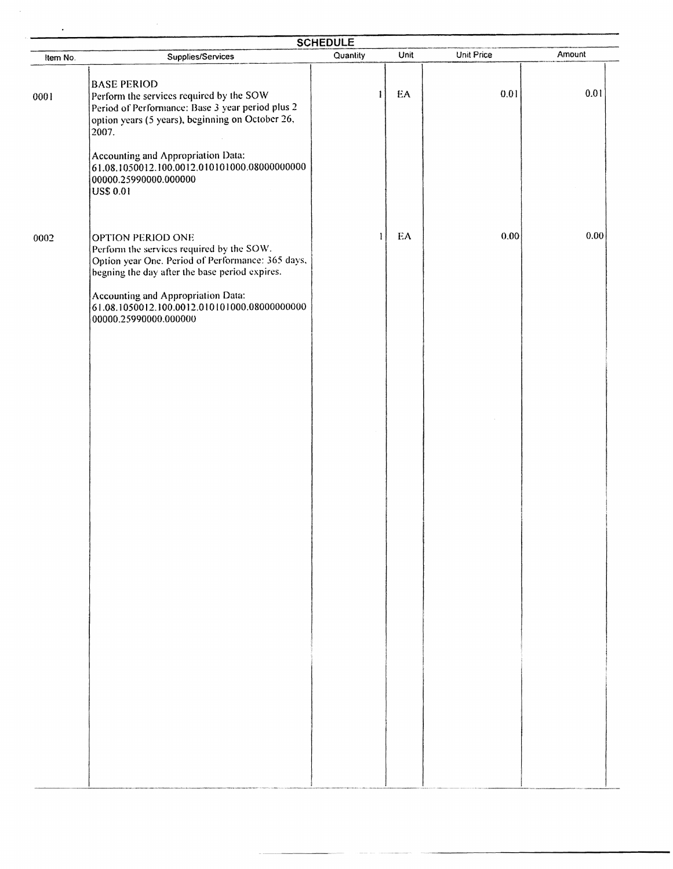| <b>SCHEDULE</b> |                                                                                                                                                                                 |              |      |            |        |  |  |  |  |
|-----------------|---------------------------------------------------------------------------------------------------------------------------------------------------------------------------------|--------------|------|------------|--------|--|--|--|--|
| Item No.        | Supplies/Services                                                                                                                                                               | Quantity     | Unit | Unit Price | Amount |  |  |  |  |
| 0001            | <b>BASE PERIOD</b><br>Perform the services required by the SOW<br>Period of Performance: Base 3 year period plus 2<br>option years (5 years), beginning on October 26,<br>2007. | $\mathbf{1}$ | EA   | 0.01       | 0.01   |  |  |  |  |
|                 | Accounting and Appropriation Data:<br>61.08.1050012.100.0012.010101000.08000000000<br>00000.25990000.000000<br><b>US\$ 0.01</b>                                                 |              |      |            |        |  |  |  |  |
| 0002            | OPTION PERIOD ONE<br>Perform the services required by the SOW.<br>Option year One. Period of Performance: 365 days,<br>begning the day after the base period expires.           | $\mathbf{I}$ | EA   | 0.00       | 0.00   |  |  |  |  |
|                 | Accounting and Appropriation Data:<br>61.08.1050012.100.0012.010101000.08000000000<br>00000.25990000.000000                                                                     |              |      |            |        |  |  |  |  |
|                 |                                                                                                                                                                                 |              |      |            |        |  |  |  |  |
|                 |                                                                                                                                                                                 |              |      |            |        |  |  |  |  |
|                 |                                                                                                                                                                                 |              |      |            |        |  |  |  |  |
|                 |                                                                                                                                                                                 |              |      |            |        |  |  |  |  |
|                 |                                                                                                                                                                                 |              |      |            |        |  |  |  |  |
|                 |                                                                                                                                                                                 |              |      |            |        |  |  |  |  |
|                 |                                                                                                                                                                                 |              |      |            |        |  |  |  |  |
|                 |                                                                                                                                                                                 |              |      |            |        |  |  |  |  |
|                 |                                                                                                                                                                                 |              |      |            |        |  |  |  |  |
|                 |                                                                                                                                                                                 |              |      |            |        |  |  |  |  |

 $\hat{\mathcal{A}}$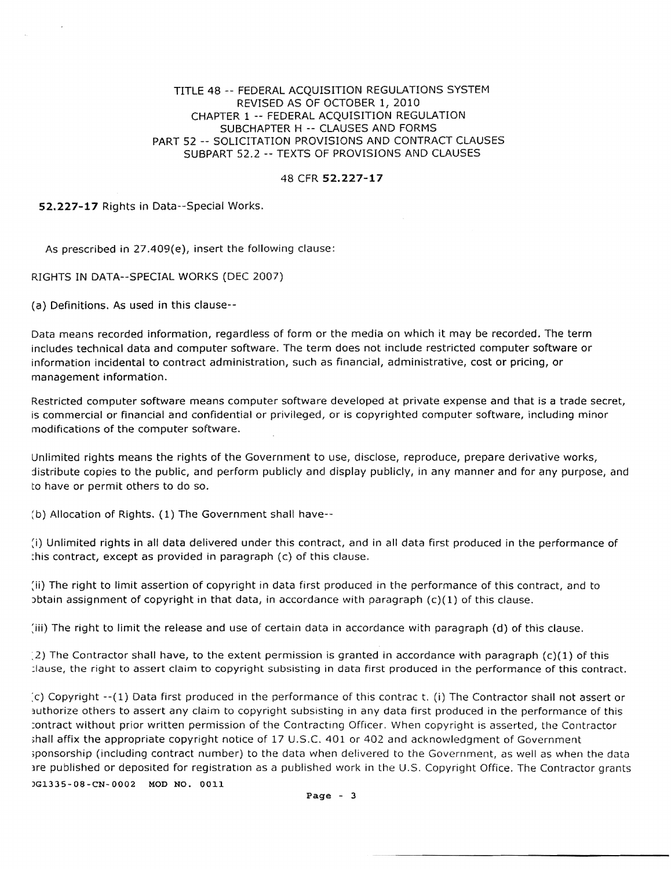TITLE 48 -- FEDERAL ACQUISITION REGULATIONS SYSTEM REVISED AS OF OCTOBER 1, 2010 CHAPTER 1 -- FEDERAL ACQUISITION REGULATION SUBCHAPTER H -- CLAUSES AND FORMS PART 52 -- SOLICITATION PROVISIONS AND CONTRACT CLAUSES SUBPART 52.2 -- TEXTS OF PROVISIONS AND CLAUSES

## 48 CFR 52.227-17

52.227-17 Rights in Data--Special Works.

As prescribed in 27.409(e}, insert the following clause:

RIGHTS IN DATA--SPECIAL WORKS (DEC 2007)

(a) Definitions. As used in this clause-

Data means recorded information, regardless of form or the media on which it may be recorded. The term includes technical data and computer software. The term does not include restricted computer software or information incidental to contract administration, such as financial, administrative, cost or pricing, or management information.

Restricted computer software means computer software developed at private expense and that is a trade secret, is commercial or financial and confidential or privileged, or is copyrighted computer software, including minor modifications of the computer software.

Unlimited rights means the rights of the Government to use, disclose, reproduce, prepare derivative works, distribute copies to the public, and perform publicly and display publicly, in any manner and for any purpose, and to have or permit others to do so.

(b) Allocation of Rights. (1) The Government shall have--

:i) Unlimited rights in all data delivered under this contract, and in all data first produced in the performance of :his contract, except as provided in paragraph (c) of this clause.

:ii) The right to limit assertion of copyright in data first produced in the performance of this contract, and to  $\alpha$ ) btain assignment of copyright in that data, in accordance with paragraph (c)(1) of this clause.

:lii) The right to limit the release and use of certain data in accordance with paragraph (d) of this clause.

 $(2)$  The Contractor shall have, to the extent permission is granted in accordance with paragraph  $(c)(1)$  of this :Iause, the right to assert claim to copyright subsisting in data First produced in the performance of this contract.

:c) Copyright --(1) Data first produced in the performance of this contrae t. (i) The Contractor shall not assert or authorize others to assert any claim to copyright subsisting in any data first produced in the performance of this :ontract without prior written permission of the Contracting Officer. When copyright is asserted, the Contractor shall affix the appropriate copyright notice of 17 U.S.C. 401 or 402 and acknowledgment of Government ;ponsorship (including contract number) to the data when delivered to the Government, as well as when the data are published or deposited for registration as a published work in the U.S. Copyright Office. The Contractor grants )G1335~08·CN-0002 MOD NO. 0011

Page - 3